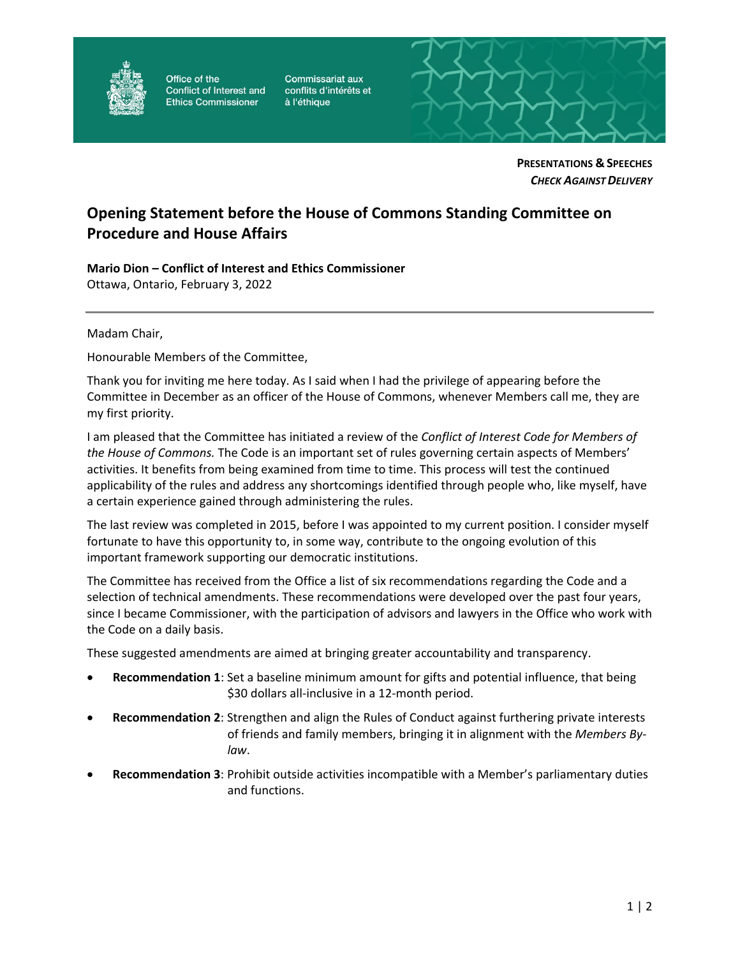

Office of the Conflict of Interest and **Ethics Commissioner** 

Commissariat aux conflits d'intérêts et à l'éthique



**PRESENTATIONS & SPEECHES** *CHECK AGAINSTDELIVERY*

## **Opening Statement before the House of Commons Standing Committee on Procedure and House Affairs**

**Mario Dion – Conflict of Interest and Ethics Commissioner** Ottawa, Ontario, February 3, 2022

Madam Chair,

Honourable Members of the Committee,

Thank you for inviting me here today. As I said when I had the privilege of appearing before the Committee in December as an officer of the House of Commons, whenever Members call me, they are my first priority.

I am pleased that the Committee has initiated a review of the *Conflict of Interest Code for Members of the House of Commons.* The Code is an important set of rules governing certain aspects of Members' activities. It benefits from being examined from time to time. This process will test the continued applicability of the rules and address any shortcomings identified through people who, like myself, have a certain experience gained through administering the rules.

The last review was completed in 2015, before I was appointed to my current position. I consider myself fortunate to have this opportunity to, in some way, contribute to the ongoing evolution of this important framework supporting our democratic institutions.

The Committee has received from the Office a list of six recommendations regarding the Code and a selection of technical amendments. These recommendations were developed over the past four years, since I became Commissioner, with the participation of advisors and lawyers in the Office who work with the Code on a daily basis.

These suggested amendments are aimed at bringing greater accountability and transparency.

- **Recommendation 1**: Set a baseline minimum amount for gifts and potential influence, that being \$30 dollars all-inclusive in a 12-month period.
- **Recommendation 2**: Strengthen and align the Rules of Conduct against furthering private interests of friends and family members, bringing it in alignment with the *Members Bylaw*.
- **Recommendation 3**: Prohibit outside activities incompatible with a Member's parliamentary duties and functions.